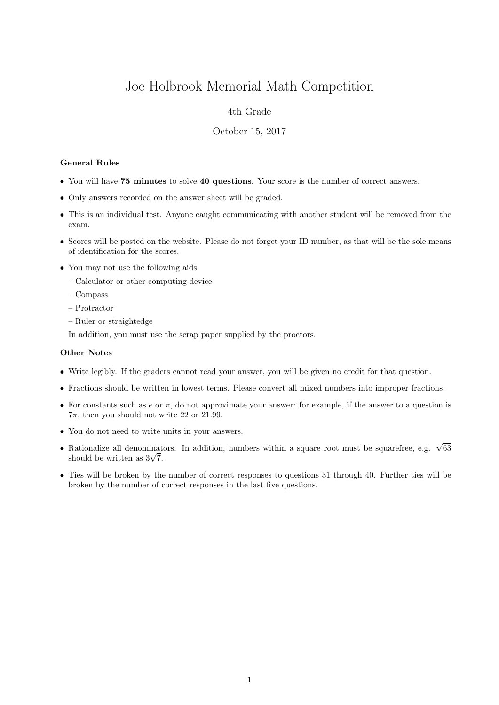# Joe Holbrook Memorial Math Competition

## 4th Grade

### October 15, 2017

#### General Rules

- You will have 75 minutes to solve 40 questions. Your score is the number of correct answers.
- Only answers recorded on the answer sheet will be graded.
- This is an individual test. Anyone caught communicating with another student will be removed from the exam.
- Scores will be posted on the website. Please do not forget your ID number, as that will be the sole means of identification for the scores.
- You may not use the following aids:
	- Calculator or other computing device
	- Compass
	- Protractor
	- Ruler or straightedge

In addition, you must use the scrap paper supplied by the proctors.

#### Other Notes

- Write legibly. If the graders cannot read your answer, you will be given no credit for that question.
- Fractions should be written in lowest terms. Please convert all mixed numbers into improper fractions.
- For constants such as  $e$  or  $\pi$ , do not approximate your answer: for example, if the answer to a question is  $7\pi$ , then you should not write 22 or 21.99.
- You do not need to write units in your answers.
- Rationalize all denominators. In addition, numbers within a square root must be squarefree, e.g.  $\sqrt{63}$  $\kappa$ ationalize all denominat<br>should be written as  $3\sqrt{7}$ .
- Ties will be broken by the number of correct responses to questions 31 through 40. Further ties will be broken by the number of correct responses in the last five questions.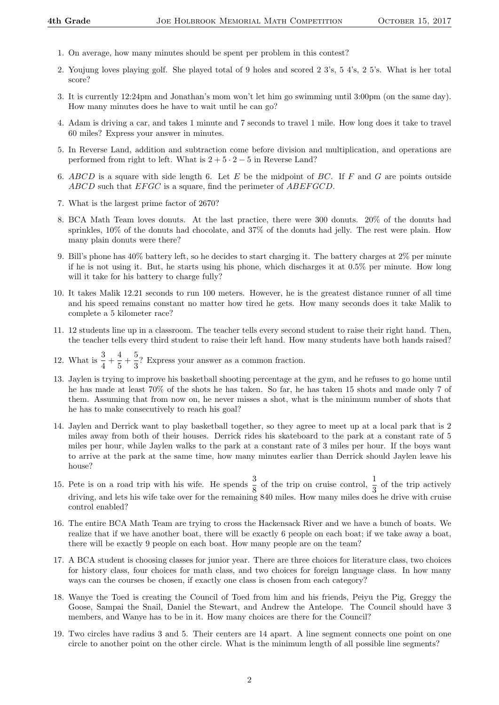- 1. On average, how many minutes should be spent per problem in this contest?
- 2. Youjung loves playing golf. She played total of 9 holes and scored 2 3's, 5 4's, 2 5's. What is her total score?
- 3. It is currently 12:24pm and Jonathan's mom won't let him go swimming until 3:00pm (on the same day). How many minutes does he have to wait until he can go?
- 4. Adam is driving a car, and takes 1 minute and 7 seconds to travel 1 mile. How long does it take to travel 60 miles? Express your answer in minutes.
- 5. In Reverse Land, addition and subtraction come before division and multiplication, and operations are performed from right to left. What is  $2 + 5 \cdot 2 - 5$  in Reverse Land?
- 6. ABCD is a square with side length 6. Let  $E$  be the midpoint of BC. If  $F$  and  $G$  are points outside ABCD such that EFGC is a square, find the perimeter of ABEFGCD.
- 7. What is the largest prime factor of 2670?
- 8. BCA Math Team loves donuts. At the last practice, there were 300 donuts. 20% of the donuts had sprinkles, 10% of the donuts had chocolate, and 37% of the donuts had jelly. The rest were plain. How many plain donuts were there?
- 9. Bill's phone has 40% battery left, so he decides to start charging it. The battery charges at 2% per minute if he is not using it. But, he starts using his phone, which discharges it at 0.5% per minute. How long will it take for his battery to charge fully?
- 10. It takes Malik 12.21 seconds to run 100 meters. However, he is the greatest distance runner of all time and his speed remains constant no matter how tired he gets. How many seconds does it take Malik to complete a 5 kilometer race?
- 11. 12 students line up in a classroom. The teacher tells every second student to raise their right hand. Then, the teacher tells every third student to raise their left hand. How many students have both hands raised?
- 12. What is  $\frac{3}{4} + \frac{4}{5}$  $\frac{4}{5} + \frac{5}{3}$  $\frac{3}{3}$ ? Express your answer as a common fraction.
- 13. Jaylen is trying to improve his basketball shooting percentage at the gym, and he refuses to go home until he has made at least 70% of the shots he has taken. So far, he has taken 15 shots and made only 7 of them. Assuming that from now on, he never misses a shot, what is the minimum number of shots that he has to make consecutively to reach his goal?
- 14. Jaylen and Derrick want to play basketball together, so they agree to meet up at a local park that is 2 miles away from both of their houses. Derrick rides his skateboard to the park at a constant rate of 5 miles per hour, while Jaylen walks to the park at a constant rate of 3 miles per hour. If the boys want to arrive at the park at the same time, how many minutes earlier than Derrick should Jaylen leave his house?
- 15. Pete is on a road trip with his wife. He spends  $\frac{3}{8}$  of the trip on cruise control,  $\frac{1}{3}$  of the trip actively driving, and lets his wife take over for the remaining 840 miles. How many miles does he drive with cruise control enabled?
- 16. The entire BCA Math Team are trying to cross the Hackensack River and we have a bunch of boats. We realize that if we have another boat, there will be exactly 6 people on each boat; if we take away a boat, there will be exactly 9 people on each boat. How many people are on the team?
- 17. A BCA student is choosing classes for junior year. There are three choices for literature class, two choices for history class, four choices for math class, and two choices for foreign language class. In how many ways can the courses be chosen, if exactly one class is chosen from each category?
- 18. Wanye the Toed is creating the Council of Toed from him and his friends, Peiyu the Pig, Greggy the Goose, Sampai the Snail, Daniel the Stewart, and Andrew the Antelope. The Council should have 3 members, and Wanye has to be in it. How many choices are there for the Council?
- 19. Two circles have radius 3 and 5. Their centers are 14 apart. A line segment connects one point on one circle to another point on the other circle. What is the minimum length of all possible line segments?